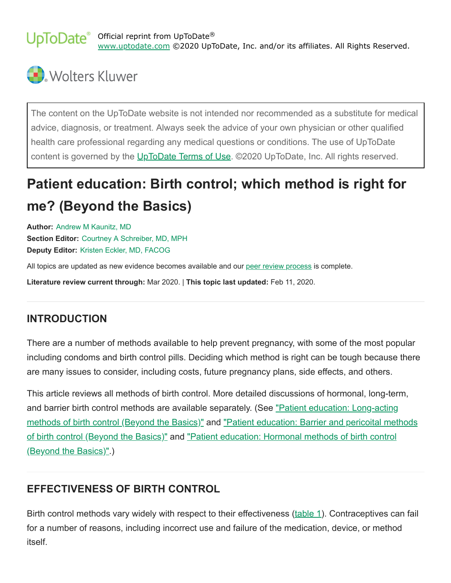Official reprint from UpToDate® [www.uptodate.com](https://www-uptodate-com.ezproxy.library.unlv.edu/) ©2020 UpToDate, Inc. and/or its affiliates. All Rights Reserved.



The content on the UpToDate website is not intended nor recommended as a substitute for medical advice, diagnosis, or treatment. Always seek the advice of your own physician or other qualified health care professional regarding any medical questions or conditions. The use of UpToDate content is governed by the [UpToDate Terms of Use](https://www-uptodate-com.ezproxy.library.unlv.edu/legal/terms-of-use). ©2020 UpToDate, Inc. All rights reserved.

# **Patient education: Birth control; which method is right for me? (Beyond the Basics)**

**Author:** Andrew M [Kaunitz,](https://www-uptodate-com.ezproxy.library.unlv.edu/contents/birth-control-which-method-is-right-for-me-beyond-the-basics/contributors) MD **Section Editor:** Courtney A [Schreiber,](https://www-uptodate-com.ezproxy.library.unlv.edu/contents/birth-control-which-method-is-right-for-me-beyond-the-basics/contributors) MD, MPH **Deputy Editor:** Kristen Eckler, MD, [FACOG](https://www-uptodate-com.ezproxy.library.unlv.edu/contents/birth-control-which-method-is-right-for-me-beyond-the-basics/contributors)

All topics are updated as new evidence becomes available and our peer review [process](https://www-uptodate-com.ezproxy.library.unlv.edu/home/editorial-policy) is complete.

**Literature review current through:** Mar 2020. | **This topic last updated:** Feb 11, 2020.

#### **INTRODUCTION**

There are a number of methods available to help prevent pregnancy, with some of the most popular including condoms and birth control pills. Deciding which method is right can be tough because there are many issues to consider, including costs, future pregnancy plans, side effects, and others.

This article reviews all methods of birth control. More detailed discussions of hormonal, long-term, [and barrier birth control methods are available separately. \(See "Patient education: Long-acting](https://www-uptodate-com.ezproxy.library.unlv.edu/contents/long-acting-methods-of-birth-control-beyond-the-basics?search=changing+birth+control&topicRef=8421&source=see_link) [methods of birth control \(Beyond the Basics\)" and "Patient education: Barrier and pericoital methods](https://www-uptodate-com.ezproxy.library.unlv.edu/contents/barrier-and-pericoital-methods-of-birth-control-beyond-the-basics?search=changing+birth+control&topicRef=8421&source=see_link) [of birth control \(Beyond the Basics\)" and "Patient education: Hormonal methods of birth control](https://www-uptodate-com.ezproxy.library.unlv.edu/contents/hormonal-methods-of-birth-control-beyond-the-basics?search=changing+birth+control&topicRef=8421&source=see_link) (Beyond the Basics)".)

# **EFFECTIVENESS OF BIRTH CONTROL**

Birth control methods vary widely with respect to their effectiveness [\(table 1](https://www-uptodate-com.ezproxy.library.unlv.edu/contents/image?imageKey=OBGYN%2F120134&topicKey=PI%2F8421&search=changing+birth+control&rank=7%7E150&source=see_link)). Contraceptives can fail for a number of reasons, including incorrect use and failure of the medication, device, or method itself.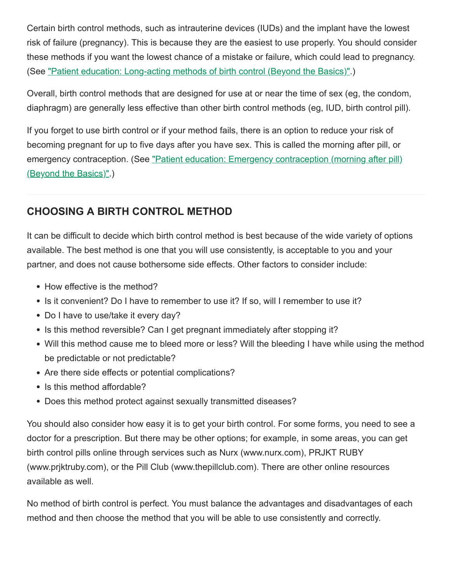Certain birth control methods, such as intrauterine devices (IUDs) and the implant have the lowest risk of failure (pregnancy). This is because they are the easiest to use properly. You should consider these methods if you want the lowest chance of a mistake or failure, which could lead to pregnancy. (See ["Patient education: Long-acting methods of birth control \(Beyond the Basics\)"](https://www-uptodate-com.ezproxy.library.unlv.edu/contents/long-acting-methods-of-birth-control-beyond-the-basics?search=changing+birth+control&topicRef=8421&source=see_link).)

Overall, birth control methods that are designed for use at or near the time of sex (eg, the condom, diaphragm) are generally less effective than other birth control methods (eg, IUD, birth control pill).

If you forget to use birth control or if your method fails, there is an option to reduce your risk of becoming pregnant for up to five days after you have sex. This is called the morning after pill, or [emergency contraception. \(See "Patient education: Emergency contraception \(morning after pill\)](https://www-uptodate-com.ezproxy.library.unlv.edu/contents/emergency-contraception-morning-after-pill-beyond-the-basics?search=changing+birth+control&topicRef=8421&source=see_link) (Beyond the Basics)".)

# **CHOOSING A BIRTH CONTROL METHOD**

It can be difficult to decide which birth control method is best because of the wide variety of options available. The best method is one that you will use consistently, is acceptable to you and your partner, and does not cause bothersome side effects. Other factors to consider include:

- How effective is the method?
- Is it convenient? Do I have to remember to use it? If so, will I remember to use it?
- Do I have to use/take it every day?
- Is this method reversible? Can I get pregnant immediately after stopping it?
- Will this method cause me to bleed more or less? Will the bleeding I have while using the method be predictable or not predictable?
- Are there side effects or potential complications?
- Is this method affordable?
- Does this method protect against sexually transmitted diseases?

You should also consider how easy it is to get your birth control. For some forms, you need to see a doctor for a prescription. But there may be other options; for example, in some areas, you can get birth control pills online through services such as Nurx (www.nurx.com), PRJKT RUBY (www.prjktruby.com), or the Pill Club (www.thepillclub.com). There are other online resources available as well.

No method of birth control is perfect. You must balance the advantages and disadvantages of each method and then choose the method that you will be able to use consistently and correctly.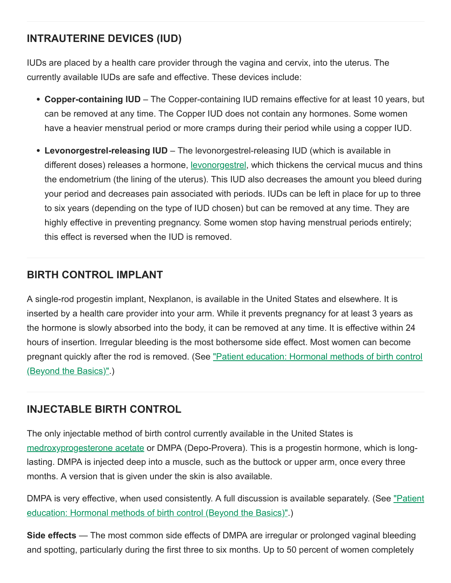# **INTRAUTERINE DEVICES (IUD)**

IUDs are placed by a health care provider through the vagina and cervix, into the uterus. The currently available IUDs are safe and effective. These devices include:

- Copper-containing IUD The Copper-containing IUD remains effective for at least 10 years, but can be removed at any time. The Copper IUD does not contain any hormones. Some women have a heavier menstrual period or more cramps during their period while using a copper IUD.
- Levonorgestrel-releasing IUD The levonorgestrel-releasing IUD (which is available in different doses) releases a hormone, **[levonorgestrel](https://www-uptodate-com.ezproxy.library.unlv.edu/contents/levonorgestrel-systemic-patient-drug-information?search=changing+birth+control&topicRef=8421&source=see_link)**, which thickens the cervical mucus and thins the endometrium (the lining of the uterus). This IUD also decreases the amount you bleed during your period and decreases pain associated with periods. IUDs can be left in place for up to three to six years (depending on the type of IUD chosen) but can be removed at any time. They are highly effective in preventing pregnancy. Some women stop having menstrual periods entirely; this effect is reversed when the IUD is removed.

#### **BIRTH CONTROL IMPLANT**

A single-rod progestin implant, Nexplanon, is available in the United States and elsewhere. It is inserted by a health care provider into your arm. While it prevents pregnancy for at least 3 years as the hormone is slowly absorbed into the body, it can be removed at any time. It is effective within 24 hours of insertion. Irregular bleeding is the most bothersome side effect. Most women can become [pregnant quickly after the rod is removed. \(See "Patient education: Hormonal methods of birth control](https://www-uptodate-com.ezproxy.library.unlv.edu/contents/hormonal-methods-of-birth-control-beyond-the-basics?search=changing+birth+control&topicRef=8421&source=see_link) (Beyond the Basics)".)

# **INJECTABLE BIRTH CONTROL**

The only injectable method of birth control currently available in the United States is [medroxyprogesterone acetate](https://www-uptodate-com.ezproxy.library.unlv.edu/contents/medroxyprogesterone-acetate-patient-drug-information?search=changing+birth+control&topicRef=8421&source=see_link) or DMPA (Depo-Provera). This is a progestin hormone, which is longlasting. DMPA is injected deep into a muscle, such as the buttock or upper arm, once every three months. A version that is given under the skin is also available.

[DMPA is very effective, when used consistently. A full discussion is available separately. \(See "Patient](https://www-uptodate-com.ezproxy.library.unlv.edu/contents/hormonal-methods-of-birth-control-beyond-the-basics?search=changing+birth+control&topicRef=8421&source=see_link) education: Hormonal methods of birth control (Beyond the Basics)".)

**Side effects** — The most common side effects of DMPA are irregular or prolonged vaginal bleeding and spotting, particularly during the first three to six months. Up to 50 percent of women completely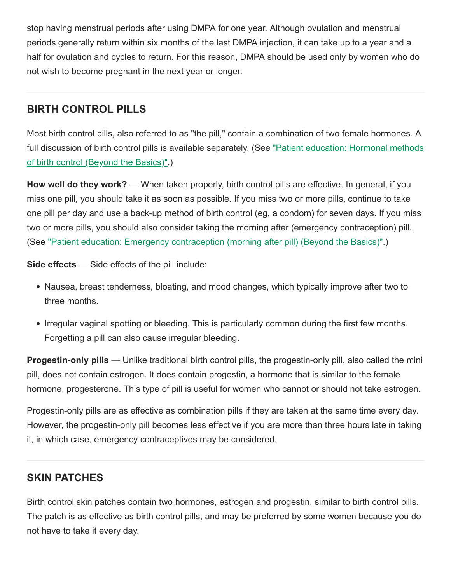stop having menstrual periods after using DMPA for one year. Although ovulation and menstrual periods generally return within six months of the last DMPA injection, it can take up to a year and a half for ovulation and cycles to return. For this reason, DMPA should be used only by women who do not wish to become pregnant in the next year or longer.

#### **BIRTH CONTROL PILLS**

Most birth control pills, also referred to as "the pill," contain a combination of two female hormones. A full discussion of birth control pills is available separately. (See <u>"Patient education: Hormonal methods</u> of birth control (Beyond the Basics)".)

**How well do they work?** — When taken properly, birth control pills are effective. In general, if you miss one pill, you should take it as soon as possible. If you miss two or more pills, continue to take one pill per day and use a back-up method of birth control (eg, a condom) for seven days. If you miss two or more pills, you should also consider taking the morning after (emergency contraception) pill. (See ["Patient education: Emergency contraception \(morning after pill\) \(Beyond the Basics\)".](https://www-uptodate-com.ezproxy.library.unlv.edu/contents/emergency-contraception-morning-after-pill-beyond-the-basics?search=changing+birth+control&topicRef=8421&source=see_link))

**Side effects** — Side effects of the pill include:

- Nausea, breast tenderness, bloating, and mood changes, which typically improve after two to three months.
- Irregular vaginal spotting or bleeding. This is particularly common during the first few months. Forgetting a pill can also cause irregular bleeding.

**Progestin-only pills** — Unlike traditional birth control pills, the progestin-only pill, also called the mini pill, does not contain estrogen. It does contain progestin, a hormone that is similar to the female hormone, progesterone. This type of pill is useful for women who cannot or should not take estrogen.

Progestin-only pills are as effective as combination pills if they are taken at the same time every day. However, the progestin-only pill becomes less effective if you are more than three hours late in taking it, in which case, emergency contraceptives may be considered.

# **SKIN PATCHES**

Birth control skin patches contain two hormones, estrogen and progestin, similar to birth control pills. The patch is as effective as birth control pills, and may be preferred by some women because you do not have to take it every day.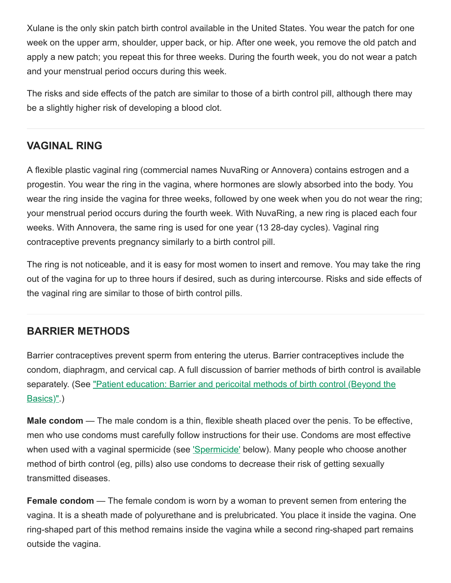Xulane is the only skin patch birth control available in the United States. You wear the patch for one week on the upper arm, shoulder, upper back, or hip. After one week, you remove the old patch and apply a new patch; you repeat this for three weeks. During the fourth week, you do not wear a patch and your menstrual period occurs during this week.

The risks and side effects of the patch are similar to those of a birth control pill, although there may be a slightly higher risk of developing a blood clot.

#### **VAGINAL RING**

A flexible plastic vaginal ring (commercial names NuvaRing or Annovera) contains estrogen and a progestin. You wear the ring in the vagina, where hormones are slowly absorbed into the body. You wear the ring inside the vagina for three weeks, followed by one week when you do not wear the ring; your menstrual period occurs during the fourth week. With NuvaRing, a new ring is placed each four weeks. With Annovera, the same ring is used for one year (13 28-day cycles). Vaginal ring contraceptive prevents pregnancy similarly to a birth control pill.

The ring is not noticeable, and it is easy for most women to insert and remove. You may take the ring out of the vagina for up to three hours if desired, such as during intercourse. Risks and side effects of the vaginal ring are similar to those of birth control pills.

# **BARRIER METHODS**

Barrier contraceptives prevent sperm from entering the uterus. Barrier contraceptives include the condom, diaphragm, and cervical cap. A full discussion of barrier methods of birth control is available [separately. \(See "Patient education: Barrier and pericoital methods of birth control \(Beyond the](https://www-uptodate-com.ezproxy.library.unlv.edu/contents/barrier-and-pericoital-methods-of-birth-control-beyond-the-basics?search=changing+birth+control&topicRef=8421&source=see_link) Basics)".)

**Male condom** — The male condom is a thin, flexible sheath placed over the penis. To be effective, men who use condoms must carefully follow instructions for their use. Condoms are most effective when used with a vaginal spermicide (see ['Spermicide'](#page-5-0) below). Many people who choose another method of birth control (eg, pills) also use condoms to decrease their risk of getting sexually transmitted diseases.

**Female condom** — The female condom is worn by a woman to prevent semen from entering the vagina. It is a sheath made of polyurethane and is prelubricated. You place it inside the vagina. One ring-shaped part of this method remains inside the vagina while a second ring-shaped part remains outside the vagina.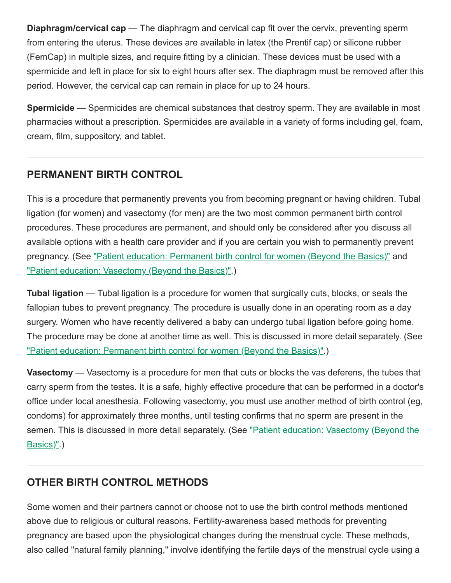**Diaphragm/cervical cap** — The diaphragm and cervical cap fit over the cervix, preventing sperm from entering the uterus. These devices are available in latex (the Prentif cap) or silicone rubber (FemCap) in multiple sizes, and require fitting by a clinician. These devices must be used with a spermicide and left in place for six to eight hours after sex. The diaphragm must be removed after this period. However, the cervical cap can remain in place for up to 24 hours.

<span id="page-5-0"></span>**Spermicide** — Spermicides are chemical substances that destroy sperm. They are available in most pharmacies without a prescription. Spermicides are available in a variety of forms including gel, foam, cream, film, suppository, and tablet.

# **PERMANENT BIRTH CONTROL**

This is a procedure that permanently prevents you from becoming pregnant or having children. Tubal ligation (for women) and vasectomy (for men) are the two most common permanent birth control procedures. These procedures are permanent, and should only be considered after you discuss all available options with a health care provider and if you are certain you wish to permanently prevent pregnancy. (See ["Patient education: Permanent birth control for women \(Beyond the Basics\)"](https://www-uptodate-com.ezproxy.library.unlv.edu/contents/permanent-birth-control-for-women-beyond-the-basics?search=changing+birth+control&topicRef=8421&source=see_link) and ["Patient education: Vasectomy \(Beyond the Basics\)"](https://www-uptodate-com.ezproxy.library.unlv.edu/contents/vasectomy-beyond-the-basics?search=changing+birth+control&topicRef=8421&source=see_link).)

**Tubal ligation** — Tubal ligation is a procedure for women that surgically cuts, blocks, or seals the fallopian tubes to prevent pregnancy. The procedure is usually done in an operating room as a day surgery. Women who have recently delivered a baby can undergo tubal ligation before going home. The procedure may be done at another time as well. This is discussed in more detail separately. (See ["Patient education: Permanent birth control for women \(Beyond the Basics\)"](https://www-uptodate-com.ezproxy.library.unlv.edu/contents/permanent-birth-control-for-women-beyond-the-basics?search=changing+birth+control&topicRef=8421&source=see_link).)

**Vasectomy** — Vasectomy is a procedure for men that cuts or blocks the vas deferens, the tubes that carry sperm from the testes. It is a safe, highly effective procedure that can be performed in a doctor's office under local anesthesia. Following vasectomy, you must use another method of birth control (eg, condoms) for approximately three months, until testing confirms that no sperm are present in the [semen. This is discussed in more detail separately. \(See "Patient education: Vasectomy \(Beyond the](https://www-uptodate-com.ezproxy.library.unlv.edu/contents/vasectomy-beyond-the-basics?search=changing+birth+control&topicRef=8421&source=see_link) Basics)".)

# **OTHER BIRTH CONTROL METHODS**

Some women and their partners cannot or choose not to use the birth control methods mentioned above due to religious or cultural reasons. Fertility-awareness based methods for preventing pregnancy are based upon the physiological changes during the menstrual cycle. These methods, also called "natural family planning," involve identifying the fertile days of the menstrual cycle using a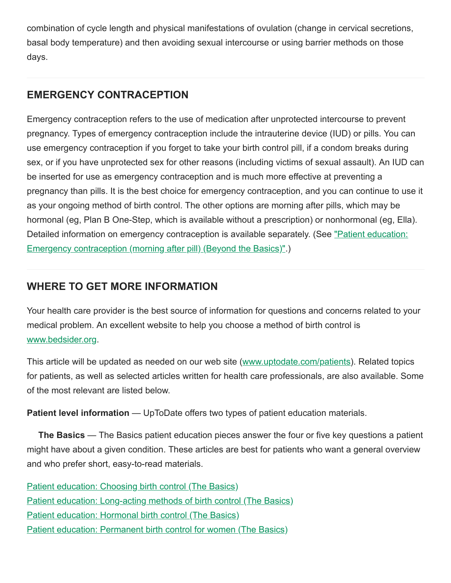combination of cycle length and physical manifestations of ovulation (change in cervical secretions, basal body temperature) and then avoiding sexual intercourse or using barrier methods on those days.

#### **EMERGENCY CONTRACEPTION**

Emergency contraception refers to the use of medication after unprotected intercourse to prevent pregnancy. Types of emergency contraception include the intrauterine device (IUD) or pills. You can use emergency contraception if you forget to take your birth control pill, if a condom breaks during sex, or if you have unprotected sex for other reasons (including victims of sexual assault). An IUD can be inserted for use as emergency contraception and is much more effective at preventing a pregnancy than pills. It is the best choice for emergency contraception, and you can continue to use it as your ongoing method of birth control. The other options are morning after pills, which may be hormonal (eg, Plan B One-Step, which is available without a prescription) or nonhormonal (eg, Ella). [Detailed information on emergency contraception is available separately. \(See "Patient education:](https://www-uptodate-com.ezproxy.library.unlv.edu/contents/emergency-contraception-morning-after-pill-beyond-the-basics?search=changing+birth+control&topicRef=8421&source=see_link) Emergency contraception (morning after pill) (Beyond the Basics)".)

#### **WHERE TO GET MORE INFORMATION**

Your health care provider is the best source of information for questions and concerns related to your medical problem. An excellent website to help you choose a method of birth control is [www.bedsider.org](https://www-uptodate-com.ezproxy.library.unlv.edu/external-redirect.do?target_url=http%3A%2F%2Fwww.bedsider.org%2F&token=4qpXt3YQayW2yNFel0nvTLDtm97QKzeSb3E6A8FCrrmvALUkLBSw0hah5bEtTSir&TOPIC_ID=8421).

This article will be updated as needed on our web site [\(www.uptodate.com/patients](https://www-uptodate-com.ezproxy.library.unlv.edu/external-redirect.do?target_url=http%3A%2F%2Fwww.uptodate.com%2Fpatients&token=nygaOTnDuGxGrKiuwLIxjMIsa91xyzRx3QvmgfDh4FTTVfpiGy3XGWFyzaLmJXXU&TOPIC_ID=8421)). Related topics for patients, as well as selected articles written for health care professionals, are also available. Some of the most relevant are listed below.

**Patient level information** — UpToDate offers two types of patient education materials.

**The Basics** — The Basics patient education pieces answer the four or five key questions a patient might have about a given condition. These articles are best for patients who want a general overview and who prefer short, easy-to-read materials.

[Patient education: Choosing birth control \(The Basics\)](https://www-uptodate-com.ezproxy.library.unlv.edu/contents/choosing-birth-control-the-basics?search=changing+birth+control&topicRef=8421&source=see_link) [Patient education: Long-acting methods of birth control \(The Basics\)](https://www-uptodate-com.ezproxy.library.unlv.edu/contents/long-acting-methods-of-birth-control-the-basics?search=changing+birth+control&topicRef=8421&source=see_link) [Patient education: Hormonal birth control \(The Basics\)](https://www-uptodate-com.ezproxy.library.unlv.edu/contents/hormonal-birth-control-the-basics?search=changing+birth+control&topicRef=8421&source=see_link) [Patient education: Permanent birth control for women \(The Basics\)](https://www-uptodate-com.ezproxy.library.unlv.edu/contents/permanent-birth-control-for-women-the-basics?search=changing+birth+control&topicRef=8421&source=see_link)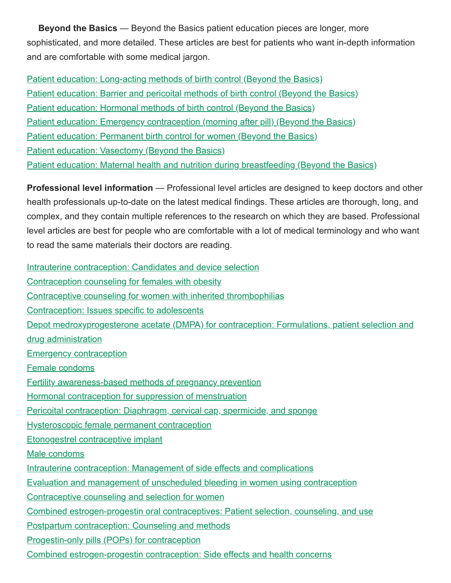**Beyond the Basics** — Beyond the Basics patient education pieces are longer, more sophisticated, and more detailed. These articles are best for patients who want in-depth information and are comfortable with some medical jargon.

[Patient education: Long-acting methods of birth control \(Beyond the Basics\)](https://www-uptodate-com.ezproxy.library.unlv.edu/contents/long-acting-methods-of-birth-control-beyond-the-basics?search=changing+birth+control&topicRef=8421&source=see_link) [Patient education: Barrier and pericoital methods of birth control \(Beyond the Basics\)](https://www-uptodate-com.ezproxy.library.unlv.edu/contents/barrier-and-pericoital-methods-of-birth-control-beyond-the-basics?search=changing+birth+control&topicRef=8421&source=see_link) [Patient education: Hormonal methods of birth control \(Beyond the Basics\)](https://www-uptodate-com.ezproxy.library.unlv.edu/contents/hormonal-methods-of-birth-control-beyond-the-basics?search=changing+birth+control&topicRef=8421&source=see_link) [Patient education: Emergency contraception \(morning after pill\) \(Beyond the Basics\)](https://www-uptodate-com.ezproxy.library.unlv.edu/contents/emergency-contraception-morning-after-pill-beyond-the-basics?search=changing+birth+control&topicRef=8421&source=see_link) [Patient education: Permanent birth control for women \(Beyond the Basics\)](https://www-uptodate-com.ezproxy.library.unlv.edu/contents/permanent-birth-control-for-women-beyond-the-basics?search=changing+birth+control&topicRef=8421&source=see_link) [Patient education: Vasectomy \(Beyond the Basics\)](https://www-uptodate-com.ezproxy.library.unlv.edu/contents/vasectomy-beyond-the-basics?search=changing+birth+control&topicRef=8421&source=see_link) [Patient education: Maternal health and nutrition during breastfeeding \(Beyond the Basics\)](https://www-uptodate-com.ezproxy.library.unlv.edu/contents/maternal-health-and-nutrition-during-breastfeeding-beyond-the-basics?search=changing+birth+control&topicRef=8421&source=see_link)

**Professional level information** — Professional level articles are designed to keep doctors and other health professionals up-to-date on the latest medical findings. These articles are thorough, long, and complex, and they contain multiple references to the research on which they are based. Professional level articles are best for people who are comfortable with a lot of medical terminology and who want to read the same materials their doctors are reading.

[Intrauterine contraception: Candidates and device selection](https://www-uptodate-com.ezproxy.library.unlv.edu/contents/intrauterine-contraception-candidates-and-device-selection?search=changing+birth+control&topicRef=8421&source=see_link) [Contraception counseling for females with obesity](https://www-uptodate-com.ezproxy.library.unlv.edu/contents/contraception-counseling-for-females-with-obesity?search=changing+birth+control&topicRef=8421&source=see_link) [Contraceptive counseling for women with inherited thrombophilias](https://www-uptodate-com.ezproxy.library.unlv.edu/contents/contraceptive-counseling-for-women-with-inherited-thrombophilias?search=changing+birth+control&topicRef=8421&source=see_link) [Contraception: Issues specific to adolescents](https://www-uptodate-com.ezproxy.library.unlv.edu/contents/contraception-issues-specific-to-adolescents?search=changing+birth+control&topicRef=8421&source=see_link) [Depot medroxyprogesterone acetate \(DMPA\) for contraception: Formulations, patient selection and](https://www-uptodate-com.ezproxy.library.unlv.edu/contents/depot-medroxyprogesterone-acetate-dmpa-for-contraception-formulations-patient-selection-and-drug-administration?search=changing+birth+control&topicRef=8421&source=see_link) drug administration [Emergency contraception](https://www-uptodate-com.ezproxy.library.unlv.edu/contents/emergency-contraception?search=changing+birth+control&topicRef=8421&source=see_link) [Female condoms](https://www-uptodate-com.ezproxy.library.unlv.edu/contents/female-condoms?search=changing+birth+control&topicRef=8421&source=see_link) [Fertility awareness-based methods of pregnancy prevention](https://www-uptodate-com.ezproxy.library.unlv.edu/contents/fertility-awareness-based-methods-of-pregnancy-prevention?search=changing+birth+control&topicRef=8421&source=see_link) [Hormonal contraception for suppression of menstruation](https://www-uptodate-com.ezproxy.library.unlv.edu/contents/hormonal-contraception-for-suppression-of-menstruation?search=changing+birth+control&topicRef=8421&source=see_link) [Pericoital contraception: Diaphragm, cervical cap, spermicide, and sponge](https://www-uptodate-com.ezproxy.library.unlv.edu/contents/pericoital-contraception-diaphragm-cervical-cap-spermicide-and-sponge?search=changing+birth+control&topicRef=8421&source=see_link) [Hysteroscopic female permanent contraception](https://www-uptodate-com.ezproxy.library.unlv.edu/contents/hysteroscopic-female-permanent-contraception?search=changing+birth+control&topicRef=8421&source=see_link) [Etonogestrel contraceptive implant](https://www-uptodate-com.ezproxy.library.unlv.edu/contents/etonogestrel-contraceptive-implant?search=changing+birth+control&topicRef=8421&source=see_link) [Male condoms](https://www-uptodate-com.ezproxy.library.unlv.edu/contents/male-condoms?search=changing+birth+control&topicRef=8421&source=see_link) [Intrauterine contraception: Management of side effects and complications](https://www-uptodate-com.ezproxy.library.unlv.edu/contents/intrauterine-contraception-management-of-side-effects-and-complications?search=changing+birth+control&topicRef=8421&source=see_link) [Evaluation and management of unscheduled bleeding in women using contraception](https://www-uptodate-com.ezproxy.library.unlv.edu/contents/evaluation-and-management-of-unscheduled-bleeding-in-women-using-contraception?search=changing+birth+control&topicRef=8421&source=see_link) [Contraceptive counseling and selection for women](https://www-uptodate-com.ezproxy.library.unlv.edu/contents/contraceptive-counseling-and-selection-for-women?search=changing+birth+control&topicRef=8421&source=see_link) [Combined estrogen-progestin oral contraceptives: Patient selection, counseling, and use](https://www-uptodate-com.ezproxy.library.unlv.edu/contents/combined-estrogen-progestin-oral-contraceptives-patient-selection-counseling-and-use?search=changing+birth+control&topicRef=8421&source=see_link) [Postpartum contraception: Counseling and methods](https://www-uptodate-com.ezproxy.library.unlv.edu/contents/postpartum-contraception-counseling-and-methods?search=changing+birth+control&topicRef=8421&source=see_link) **[Progestin-only pills \(POPs\) for contraception](https://www-uptodate-com.ezproxy.library.unlv.edu/contents/progestin-only-pills-pops-for-contraception?search=changing+birth+control&topicRef=8421&source=see_link)** [Combined estrogen-progestin contraception: Side effects and health concerns](https://www-uptodate-com.ezproxy.library.unlv.edu/contents/combined-estrogen-progestin-contraception-side-effects-and-health-concerns?search=changing+birth+control&topicRef=8421&source=see_link)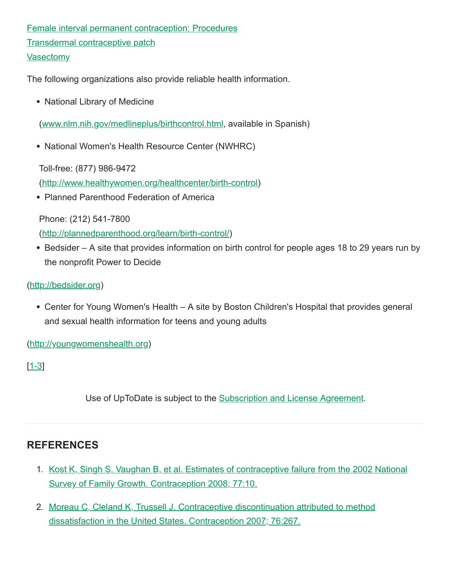[Female interval permanent contraception: Procedures](https://www-uptodate-com.ezproxy.library.unlv.edu/contents/female-interval-permanent-contraception-procedures?search=changing+birth+control&topicRef=8421&source=see_link) [Transdermal contraceptive patch](https://www-uptodate-com.ezproxy.library.unlv.edu/contents/transdermal-contraceptive-patch?search=changing+birth+control&topicRef=8421&source=see_link) **[Vasectomy](https://www-uptodate-com.ezproxy.library.unlv.edu/contents/vasectomy?search=changing+birth+control&topicRef=8421&source=see_link)** 

The following organizations also provide reliable health information.

• National Library of Medicine

([www.nlm.nih.gov/medlineplus/birthcontrol.html,](https://www-uptodate-com.ezproxy.library.unlv.edu/external-redirect.do?target_url=http%3A%2F%2Fwww.nlm.nih.gov%2Fmedlineplus%2Fbirthcontrol.html&token=wcvqXJGYfldsSRuDy%2BItKwyWz1jXKiGNXoU68toJnYC9RX5PNz3MmQB1WMcN4N3Ux0icIlb5neiNsUi1FAmxxA%3D%3D&TOPIC_ID=8421) available in Spanish)

• National Women's Health Resource Center (NWHRC)

Toll-free: (877) 986-9472

([http://www.healthywomen.org/healthcenter/birth-control\)](https://www-uptodate-com.ezproxy.library.unlv.edu/external-redirect.do?target_url=http%3A%2F%2Fwww.healthywomen.org%2Fhealthcenter%2Fbirth-control&token=rvTukyyIVowC5RKz8kYMi8DMXtujZsWoU1yR1dgFwhuW4lnH%2Frh0dof0oDaJTOkJuFurLLHruqGQz5j9HVx2lw%3D%3D&TOPIC_ID=8421)

• Planned Parenthood Federation of America

Phone: (212) 541-7800

([http://plannedparenthood.org/learn/birth-control/](https://www-uptodate-com.ezproxy.library.unlv.edu/external-redirect.do?target_url=http%3A%2F%2Fplannedparenthood.org%2Flearn%2Fbirth-control%2F&token=nh%2B6J8zLWXdBm84n0NUXwRz34LBFK1A8kD8P79ep4tBzK0bbl0AIpzYmX93gk%2F5qpBnvwvMMXxim2eLSv3PIOA%3D%3D&TOPIC_ID=8421))

• Bedsider – A site that provides information on birth control for people ages 18 to 29 years run by the nonprofit Power to Decide

#### [\(http://bedsider.org](https://www-uptodate-com.ezproxy.library.unlv.edu/external-redirect.do?target_url=http%3A%2F%2Fbedsider.org%2F&token=zJ5gQ3rEz%2FWfF96g4EN6dZ0WWANDd0amr7%2FGWBeQMYA%3D&TOPIC_ID=8421))

• Center for Young Women's Health – A site by Boston Children's Hospital that provides general and sexual health information for teens and young adults

[\(http://youngwomenshealth.org\)](https://www-uptodate-com.ezproxy.library.unlv.edu/external-redirect.do?target_url=http%3A%2F%2Fyoungwomenshealth.org%2F&token=4ZVQuaw7JPQhsSQn2msmz4V2t0hJWr2nmfMP%2FLbrjZq3BOM8pXRApS0zZOoQmNVZ&TOPIC_ID=8421)

 $[1-3]$  $[1-3]$ 

Use of UpToDate is subject to the [Subscription and License Agreement](https://www-uptodate-com.ezproxy.library.unlv.edu/legal/license).

# **REFERENCES**

- 1. [Kost K, Singh S, Vaughan B, et al. Estimates of contraceptive failure from the 2002 National](https://www-uptodate-com.ezproxy.library.unlv.edu/contents/birth-control-which-method-is-right-for-me-beyond-the-basics/abstract/1) Survey of Family Growth. Contraception 2008; 77:10.
- 2. [Moreau C, Cleland K, Trussell J. Contraceptive discontinuation attributed to method](https://www-uptodate-com.ezproxy.library.unlv.edu/contents/birth-control-which-method-is-right-for-me-beyond-the-basics/abstract/2) dissatisfaction in the United States. Contraception 2007; 76:267.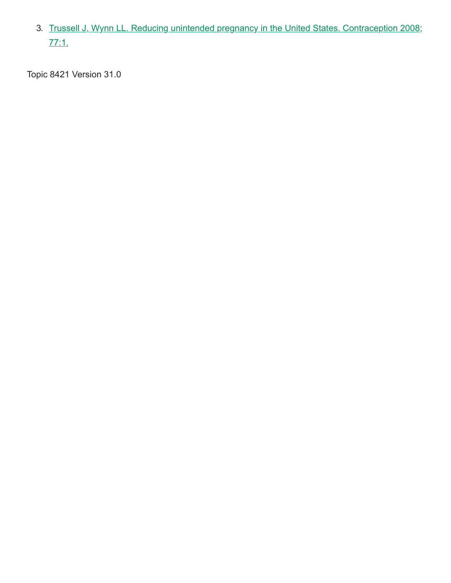3. [Trussell J, Wynn LL. Reducing unintended pregnancy in the United States. Contraception 2008;](https://www-uptodate-com.ezproxy.library.unlv.edu/contents/birth-control-which-method-is-right-for-me-beyond-the-basics/abstract/3) 77:1.

Topic 8421 Version 31.0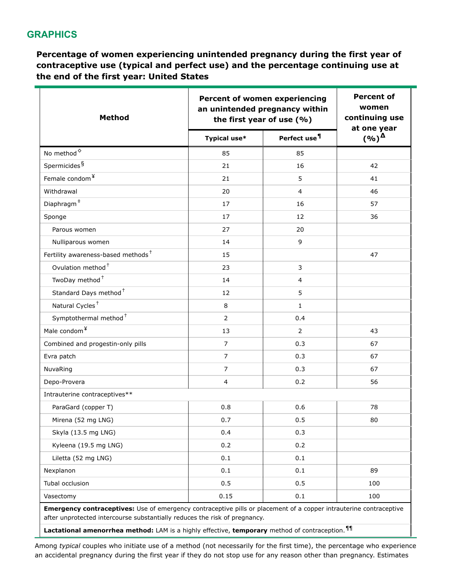#### **GRAPHICS**

**Percentage of women experiencing unintended pregnancy during the first year of contraceptive use (typical and perfect use) and the percentage continuing use at the end of the first year: United States**

| <b>Method</b>                                                                                                                                                                                                                                                                                                  |                | <b>Percent of women experiencing</b><br>an unintended pregnancy within<br>the first year of use (%) |                                                      |
|----------------------------------------------------------------------------------------------------------------------------------------------------------------------------------------------------------------------------------------------------------------------------------------------------------------|----------------|-----------------------------------------------------------------------------------------------------|------------------------------------------------------|
|                                                                                                                                                                                                                                                                                                                | Typical use*   | Perfect use <sup>¶</sup>                                                                            | at one year<br>$($ %) <sup><math>\Delta</math></sup> |
| No method <sup><math>\diamond</math></sup>                                                                                                                                                                                                                                                                     | 85             | 85                                                                                                  |                                                      |
| Spermicides <sup>§</sup>                                                                                                                                                                                                                                                                                       | 21             | 16                                                                                                  | 42                                                   |
| Female condom <sup>¥</sup>                                                                                                                                                                                                                                                                                     | 21             | 5                                                                                                   | 41                                                   |
| Withdrawal                                                                                                                                                                                                                                                                                                     | 20             | 4                                                                                                   | 46                                                   |
| $\mathsf{Diaphragm}^{\ddagger}$                                                                                                                                                                                                                                                                                | 17             | 16                                                                                                  | 57                                                   |
| Sponge                                                                                                                                                                                                                                                                                                         | 17             | 12                                                                                                  | 36                                                   |
| Parous women                                                                                                                                                                                                                                                                                                   | 27             | 20                                                                                                  |                                                      |
| Nulliparous women                                                                                                                                                                                                                                                                                              | 14             | 9                                                                                                   |                                                      |
| Fertility awareness-based methods <sup>+</sup>                                                                                                                                                                                                                                                                 | 15             |                                                                                                     | 47                                                   |
| Ovulation method <sup>+</sup>                                                                                                                                                                                                                                                                                  | 23             | 3                                                                                                   |                                                      |
| TwoDay method <sup>+</sup>                                                                                                                                                                                                                                                                                     | 14             | $\overline{4}$                                                                                      |                                                      |
| Standard Days method <sup>+</sup>                                                                                                                                                                                                                                                                              | 12             | 5                                                                                                   |                                                      |
| Natural Cycles <sup>+</sup>                                                                                                                                                                                                                                                                                    | 8              | $\mathbf{1}$                                                                                        |                                                      |
| Symptothermal method <sup>+</sup>                                                                                                                                                                                                                                                                              | $\overline{2}$ | 0.4                                                                                                 |                                                      |
| Male condom <sup>¥</sup>                                                                                                                                                                                                                                                                                       | 13             | 2                                                                                                   | 43                                                   |
| Combined and progestin-only pills                                                                                                                                                                                                                                                                              | $\overline{7}$ | 0.3                                                                                                 | 67                                                   |
| Evra patch                                                                                                                                                                                                                                                                                                     | $\overline{7}$ | 0.3                                                                                                 | 67                                                   |
| NuvaRing                                                                                                                                                                                                                                                                                                       | $\overline{7}$ | 0.3                                                                                                 | 67                                                   |
| Depo-Provera                                                                                                                                                                                                                                                                                                   | $\overline{4}$ | 0.2                                                                                                 | 56                                                   |
| Intrauterine contraceptives**                                                                                                                                                                                                                                                                                  |                |                                                                                                     |                                                      |
| ParaGard (copper T)                                                                                                                                                                                                                                                                                            | 0.8            | 0.6                                                                                                 | 78                                                   |
| Mirena (52 mg LNG)                                                                                                                                                                                                                                                                                             | 0.7            | 0.5                                                                                                 | 80                                                   |
| Skyla (13.5 mg LNG)                                                                                                                                                                                                                                                                                            | 0.4            | 0.3                                                                                                 |                                                      |
| Kyleena (19.5 mg LNG)                                                                                                                                                                                                                                                                                          | 0.2            | 0.2                                                                                                 |                                                      |
| Liletta (52 mg LNG)                                                                                                                                                                                                                                                                                            | 0.1            | 0.1                                                                                                 |                                                      |
| Nexplanon                                                                                                                                                                                                                                                                                                      | 0.1            | 0.1                                                                                                 | 89                                                   |
| Tubal occlusion                                                                                                                                                                                                                                                                                                | 0.5            | 0.5                                                                                                 | 100                                                  |
| Vasectomy                                                                                                                                                                                                                                                                                                      | 0.15           | 0.1                                                                                                 | 100                                                  |
| Emergency contraceptives: Use of emergency contraceptive pills or placement of a copper intrauterine contraceptive<br>after unprotected intercourse substantially reduces the risk of pregnancy.<br>Lactational amenorrhea method: LAM is a highly effective, temporary method of contraception. <sup>11</sup> |                |                                                                                                     |                                                      |

Among *typical* couples who initiate use of a method (not necessarily for the first time), the percentage who experience an accidental pregnancy during the first year if they do not stop use for any reason other than pregnancy. Estimates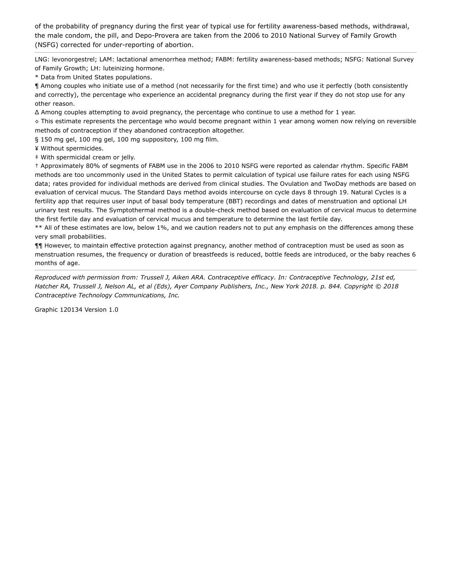of the probability of pregnancy during the first year of typical use for fertility awareness-based methods, withdrawal, the male condom, the pill, and Depo-Provera are taken from the 2006 to 2010 National Survey of Family Growth (NSFG) corrected for under-reporting of abortion.

LNG: levonorgestrel; LAM: lactational amenorrhea method; FABM: fertility awareness-based methods; NSFG: National Survey of Family Growth; LH: luteinizing hormone.

\* Data from United States populations.

¶ Among couples who initiate use of a method (not necessarily for the first time) and who use it perfectly (both consistently and correctly), the percentage who experience an accidental pregnancy during the first year if they do not stop use for any other reason.

Δ Among couples attempting to avoid pregnancy, the percentage who continue to use a method for 1 year.

◊ This estimate represents the percentage who would become pregnant within 1 year among women now relying on reversible methods of contraception if they abandoned contraception altogether.

§ 150 mg gel, 100 mg gel, 100 mg suppository, 100 mg film.

¥ Without spermicides.

‡ With spermicidal cream or jelly.

† Approximately 80% of segments of FABM use in the 2006 to 2010 NSFG were reported as calendar rhythm. Specific FABM methods are too uncommonly used in the United States to permit calculation of typical use failure rates for each using NSFG data; rates provided for individual methods are derived from clinical studies. The Ovulation and TwoDay methods are based on evaluation of cervical mucus. The Standard Days method avoids intercourse on cycle days 8 through 19. Natural Cycles is a fertility app that requires user input of basal body temperature (BBT) recordings and dates of menstruation and optional LH urinary test results. The Symptothermal method is a double-check method based on evaluation of cervical mucus to determine the first fertile day and evaluation of cervical mucus and temperature to determine the last fertile day.

\*\* All of these estimates are low, below 1%, and we caution readers not to put any emphasis on the differences among these very small probabilities.

¶¶ However, to maintain effective protection against pregnancy, another method of contraception must be used as soon as menstruation resumes, the frequency or duration of breastfeeds is reduced, bottle feeds are introduced, or the baby reaches 6 months of age.

*Reproduced with permission from: Trussell J, Aiken ARA. Contraceptive efficacy. In: Contraceptive Technology, 21st ed,* Hatcher RA, Trussell J, Nelson AL, et al (Eds), Ayer Company Publishers, Inc., New York 2018. p. 844. Copyright © 2018 *Contraceptive Technology Communications, Inc.*

Graphic 120134 Version 1.0